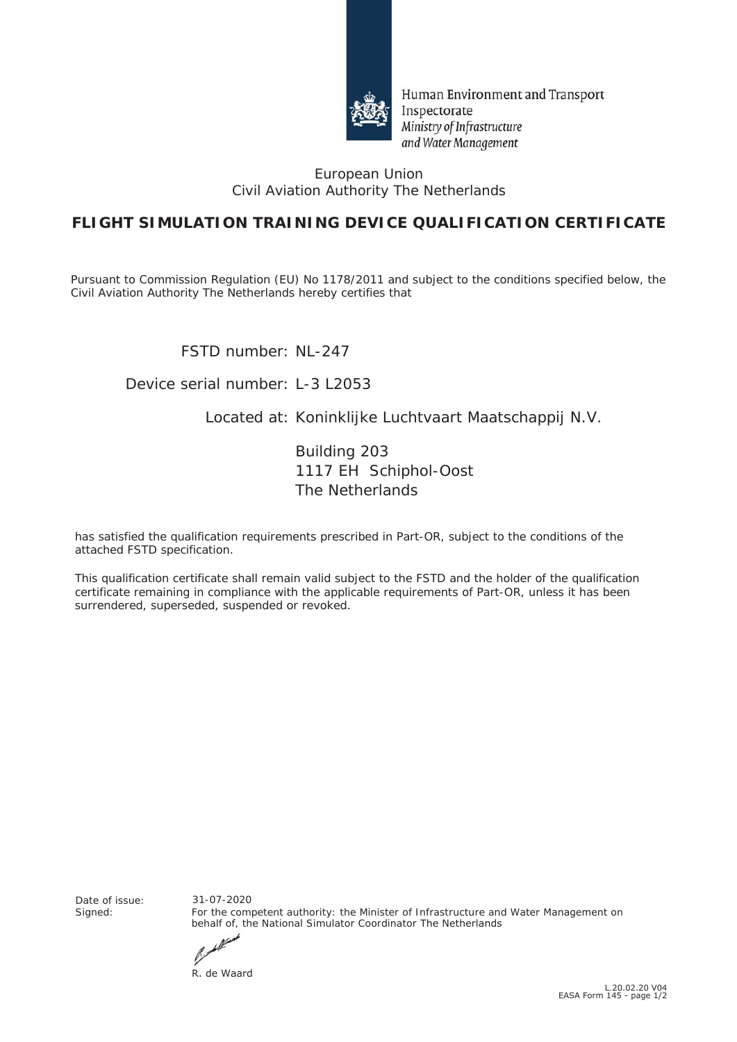

Human Environment and Transport Inspectorate Ministry of Infrastructure and Water Management

#### European Union Civil Aviation Authority The Netherlands

## **FLIGHT SIMULATION TRAINING DEVICE QUALIFICATION CERTIFICATE**

Pursuant to Commission Regulation (EU) No *1178/2011* and subject to the conditions specified below, the Civil Aviation Authority The Netherlands hereby certifies that

FSTD number: NL-247

### Device serial number: L-3 L2053

### Located at: Koninklijke Luchtvaart Maatschappij N.V.

Building 203 1117 EH Schiphol-Oost The Netherlands

has satisfied the qualification requirements prescribed in Part-OR, subject to the conditions of the attached FSTD specification.

This qualification certificate shall remain valid subject to the FSTD and the holder of the qualification certificate remaining in compliance with the applicable requirements of Part-OR, unless it has been surrendered, superseded, suspended or revoked.

Date of issue:<br>Signed:

For the competent authority: the Minister of Infrastructure and Water Management on behalf of, the National Simulator Coordinator The Netherlands 31-07-2020